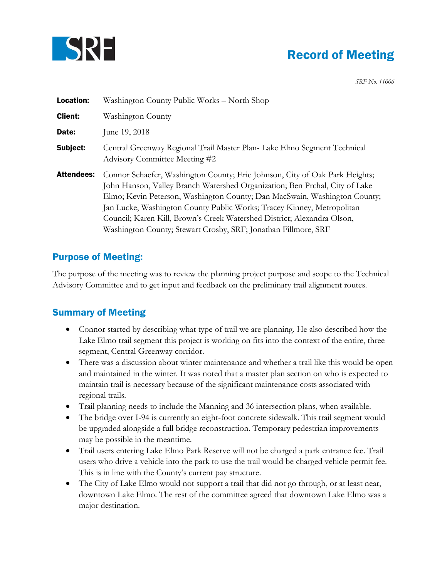

## Record of Meeting

*SRF No. 11006*

| <b>Location:</b>  | Washington County Public Works – North Shop                                                                                                                                                                                                                                                                                                                                                                                                                    |
|-------------------|----------------------------------------------------------------------------------------------------------------------------------------------------------------------------------------------------------------------------------------------------------------------------------------------------------------------------------------------------------------------------------------------------------------------------------------------------------------|
| <b>Client:</b>    | Washington County                                                                                                                                                                                                                                                                                                                                                                                                                                              |
| Date:             | June 19, 2018                                                                                                                                                                                                                                                                                                                                                                                                                                                  |
| Subject:          | Central Greenway Regional Trail Master Plan- Lake Elmo Segment Technical<br>Advisory Committee Meeting #2                                                                                                                                                                                                                                                                                                                                                      |
| <b>Attendees:</b> | Connor Schaefer, Washington County; Eric Johnson, City of Oak Park Heights;<br>John Hanson, Valley Branch Watershed Organization; Ben Prchal, City of Lake<br>Elmo; Kevin Peterson, Washington County; Dan MacSwain, Washington County;<br>Jan Lucke, Washington County Public Works; Tracey Kinney, Metropolitan<br>Council; Karen Kill, Brown's Creek Watershed District; Alexandra Olson,<br>Washington County; Stewart Crosby, SRF; Jonathan Fillmore, SRF |

## Purpose of Meeting:

The purpose of the meeting was to review the planning project purpose and scope to the Technical Advisory Committee and to get input and feedback on the preliminary trail alignment routes.

## Summary of Meeting

- Connor started by describing what type of trail we are planning. He also described how the Lake Elmo trail segment this project is working on fits into the context of the entire, three segment, Central Greenway corridor.
- There was a discussion about winter maintenance and whether a trail like this would be open and maintained in the winter. It was noted that a master plan section on who is expected to maintain trail is necessary because of the significant maintenance costs associated with regional trails.
- Trail planning needs to include the Manning and 36 intersection plans, when available.
- The bridge over I-94 is currently an eight-foot concrete sidewalk. This trail segment would be upgraded alongside a full bridge reconstruction. Temporary pedestrian improvements may be possible in the meantime.
- Trail users entering Lake Elmo Park Reserve will not be charged a park entrance fee. Trail users who drive a vehicle into the park to use the trail would be charged vehicle permit fee. This is in line with the County's current pay structure.
- The City of Lake Elmo would not support a trail that did not go through, or at least near, downtown Lake Elmo. The rest of the committee agreed that downtown Lake Elmo was a major destination.